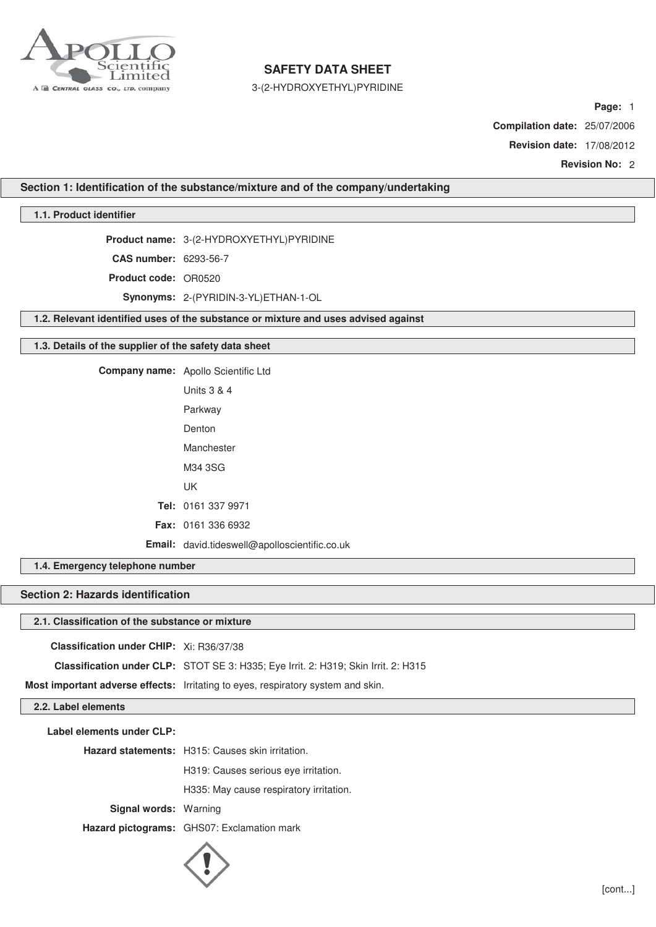

3-(2-HYDROXYETHYL)PYRIDINE

**Page:** 1

**Compilation date:** 25/07/2006

**Revision date:** 17/08/2012

**Revision No:** 2

**Section 1: Identification of the substance/mixture and of the company/undertaking**

## **1.1. Product identifier**

**Product name:** 3-(2-HYDROXYETHYL)PYRIDINE

**CAS number:** 6293-56-7

**Product code:** OR0520

**Synonyms:** 2-(PYRIDIN-3-YL)ETHAN-1-OL

**1.2. Relevant identified uses of the substance or mixture and uses advised against**

### **1.3. Details of the supplier of the safety data sheet**

**Company name:** Apollo Scientific Ltd

| Units $3 \& 4$                                       |
|------------------------------------------------------|
| Parkway                                              |
| Denton                                               |
| Manchester                                           |
| M34 3SG                                              |
| UΚ                                                   |
| <b>Tel:</b> 0161 337 9971                            |
| <b>Fax: 0161 336 6932</b>                            |
| <b>Email:</b> david.tideswell@apolloscientific.co.uk |

**1.4. Emergency telephone number**

## **Section 2: Hazards identification**

#### **2.1. Classification of the substance or mixture**

**Classification under CHIP:** Xi: R36/37/38

**Classification under CLP:** STOT SE 3: H335; Eye Irrit. 2: H319; Skin Irrit. 2: H315

**Most important adverse effects:** Irritating to eyes, respiratory system and skin.

## **2.2. Label elements**

**Label elements under CLP:**

**Hazard statements:** H315: Causes skin irritation.

H319: Causes serious eye irritation.

H335: May cause respiratory irritation.

**Signal words:** Warning

**Hazard pictograms:** GHS07: Exclamation mark

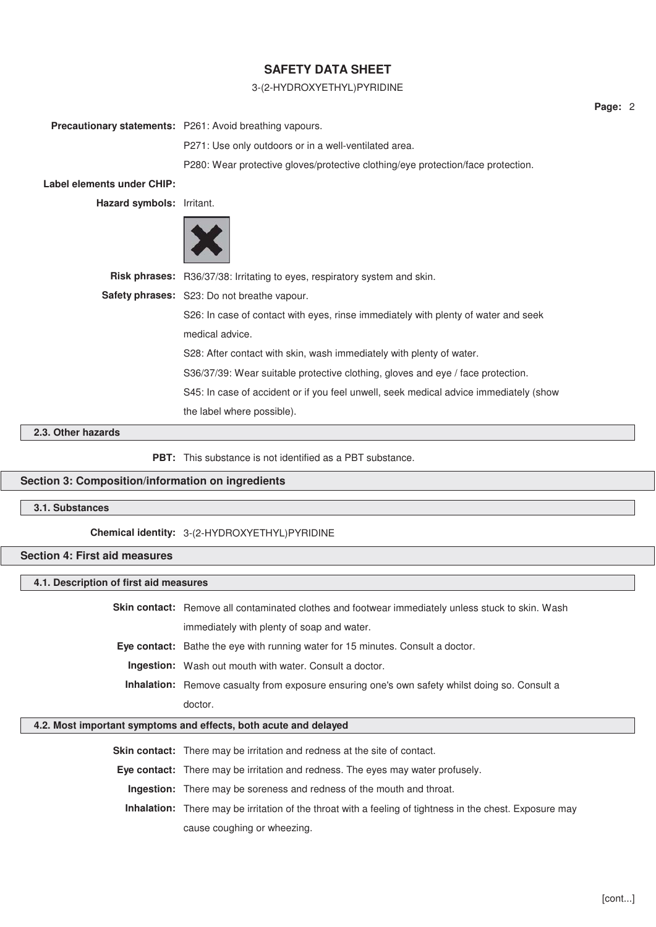## 3-(2-HYDROXYETHYL)PYRIDINE

|                                                                                                         | Precautionary statements: P261: Avoid breathing vapours.                              |
|---------------------------------------------------------------------------------------------------------|---------------------------------------------------------------------------------------|
|                                                                                                         | P271: Use only outdoors or in a well-ventilated area.                                 |
|                                                                                                         | P280: Wear protective gloves/protective clothing/eye protection/face protection.      |
| Label elements under CHIP:                                                                              |                                                                                       |
| Hazard symbols: Irritant.                                                                               |                                                                                       |
|                                                                                                         |                                                                                       |
|                                                                                                         | Risk phrases: R36/37/38: Irritating to eyes, respiratory system and skin.             |
|                                                                                                         | Safety phrases: S23: Do not breathe vapour.                                           |
|                                                                                                         | S26: In case of contact with eyes, rinse immediately with plenty of water and seek    |
|                                                                                                         | medical advice.                                                                       |
|                                                                                                         | S28: After contact with skin, wash immediately with plenty of water.                  |
|                                                                                                         | S36/37/39: Wear suitable protective clothing, gloves and eye / face protection.       |
|                                                                                                         | S45: In case of accident or if you feel unwell, seek medical advice immediately (show |
|                                                                                                         | the label where possible).                                                            |
| $\mathbf{A}$ $\mathbf{A}$ $\mathbf{B}$ $\mathbf{A}$ $\mathbf{B}$ $\mathbf{A}$ $\mathbf{B}$ $\mathbf{A}$ |                                                                                       |

#### **2.3. Other hazards**

**PBT:** This substance is not identified as a PBT substance.

### **Section 3: Composition/information on ingredients**

## **3.1. Substances**

### **Chemical identity:** 3-(2-HYDROXYETHYL)PYRIDINE

## **Section 4: First aid measures**

## **4.1. Description of first aid measures**

**Skin contact:** Remove all contaminated clothes and footwear immediately unless stuck to skin. Wash immediately with plenty of soap and water. **Eye contact:** Bathe the eye with running water for 15 minutes. Consult a doctor.

**Ingestion:** Wash out mouth with water. Consult a doctor.

**Inhalation:** Remove casualty from exposure ensuring one's own safety whilst doing so. Consult a doctor.

#### **4.2. Most important symptoms and effects, both acute and delayed**

**Skin contact:** There may be irritation and redness at the site of contact.

**Eye contact:** There may be irritation and redness. The eyes may water profusely.

**Ingestion:** There may be soreness and redness of the mouth and throat.

**Inhalation:** There may be irritation of the throat with a feeling of tightness in the chest. Exposure may cause coughing or wheezing.

**Page:** 2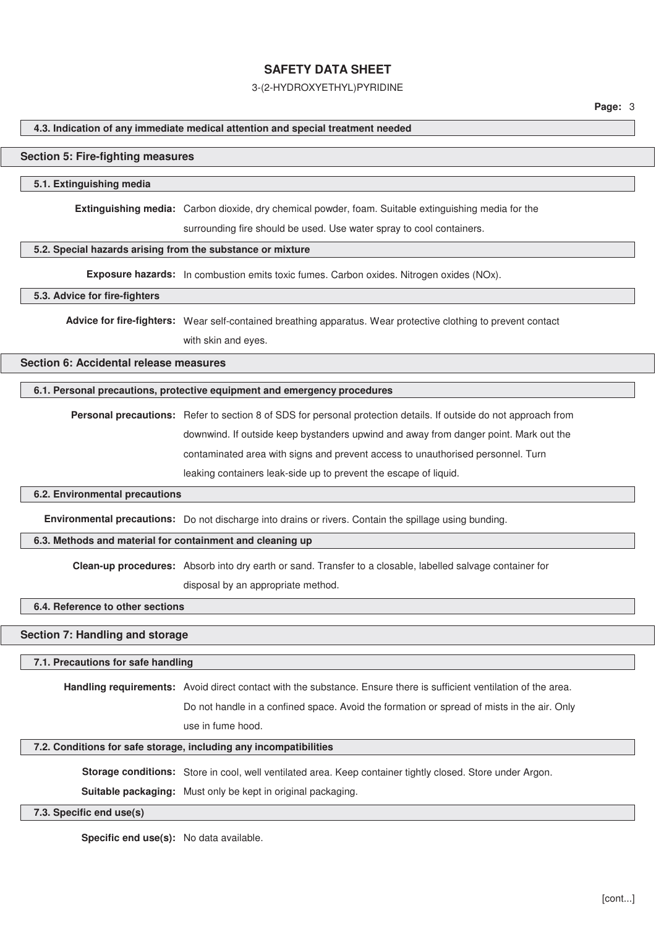#### 3-(2-HYDROXYETHYL)PYRIDINE

#### **4.3. Indication of any immediate medical attention and special treatment needed**

#### **Section 5: Fire-fighting measures**

#### **5.1. Extinguishing media**

**Extinguishing media:** Carbon dioxide, dry chemical powder, foam. Suitable extinguishing media for the

surrounding fire should be used. Use water spray to cool containers.

### **5.2. Special hazards arising from the substance or mixture**

**Exposure hazards:** In combustion emits toxic fumes. Carbon oxides. Nitrogen oxides (NOx).

### **5.3. Advice for fire-fighters**

**Advice for fire-fighters:** Wear self-contained breathing apparatus. Wear protective clothing to prevent contact with skin and eyes.

#### **Section 6: Accidental release measures**

## **6.1. Personal precautions, protective equipment and emergency procedures**

**Personal precautions:** Refer to section 8 of SDS for personal protection details. If outside do not approach from downwind. If outside keep bystanders upwind and away from danger point. Mark out the contaminated area with signs and prevent access to unauthorised personnel. Turn leaking containers leak-side up to prevent the escape of liquid.

#### **6.2. Environmental precautions**

**Environmental precautions:** Do not discharge into drains or rivers. Contain the spillage using bunding.

### **6.3. Methods and material for containment and cleaning up**

**Clean-up procedures:** Absorb into dry earth or sand. Transfer to a closable, labelled salvage container for

disposal by an appropriate method.

## **6.4. Reference to other sections**

## **Section 7: Handling and storage**

#### **7.1. Precautions for safe handling**

**Handling requirements:** Avoid direct contact with the substance. Ensure there is sufficient ventilation of the area.

Do not handle in a confined space. Avoid the formation or spread of mists in the air. Only use in fume hood.

#### **7.2. Conditions for safe storage, including any incompatibilities**

**Storage conditions:** Store in cool, well ventilated area. Keep container tightly closed. Store under Argon.

**Suitable packaging:** Must only be kept in original packaging.

## **7.3. Specific end use(s)**

**Specific end use(s):** No data available.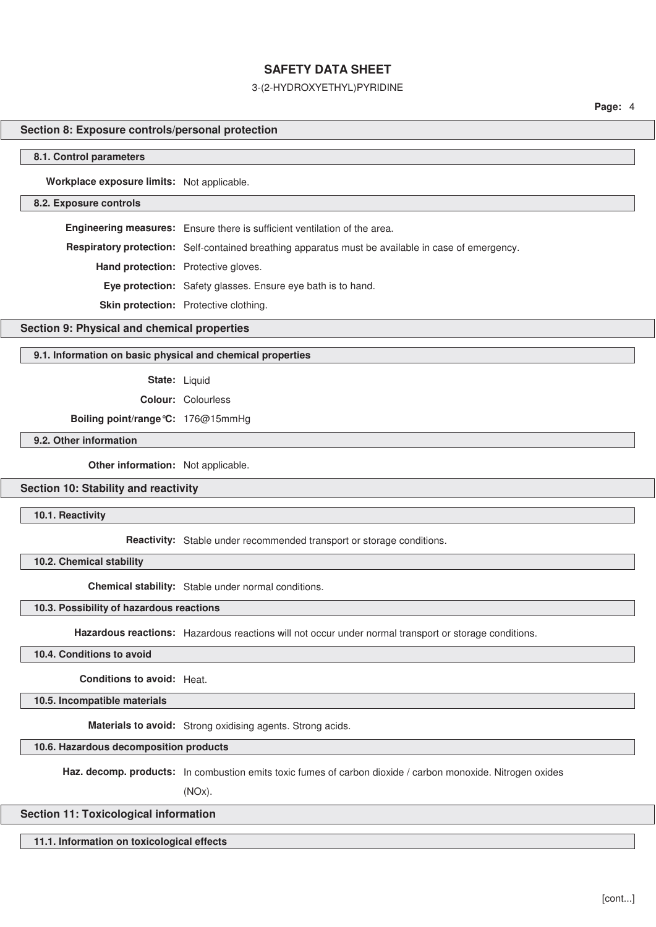### 3-(2-HYDROXYETHYL)PYRIDINE

**Page:** 4

## **Section 8: Exposure controls/personal protection**

#### **8.1. Control parameters**

**Workplace exposure limits:** Not applicable.

#### **8.2. Exposure controls**

**Engineering measures:** Ensure there is sufficient ventilation of the area.

**Respiratory protection:** Self-contained breathing apparatus must be available in case of emergency.

**Hand protection:** Protective gloves.

**Eye protection:** Safety glasses. Ensure eye bath is to hand.

**Skin protection:** Protective clothing.

### **Section 9: Physical and chemical properties**

## **9.1. Information on basic physical and chemical properties**

**State:** Liquid

**Colour:** Colourless

**Boiling point/range°C:** 176@15mmHg

## **9.2. Other information**

**Other information:** Not applicable.

## **Section 10: Stability and reactivity**

**10.1. Reactivity**

**Reactivity:** Stable under recommended transport or storage conditions.

**10.2. Chemical stability**

**Chemical stability:** Stable under normal conditions.

**10.3. Possibility of hazardous reactions**

**Hazardous reactions:** Hazardous reactions will not occur under normal transport or storage conditions.

**10.4. Conditions to avoid**

**Conditions to avoid:** Heat.

**10.5. Incompatible materials**

**Materials to avoid:** Strong oxidising agents. Strong acids.

**10.6. Hazardous decomposition products**

**Haz. decomp. products:** In combustion emits toxic fumes of carbon dioxide / carbon monoxide. Nitrogen oxides

(NOx).

## **Section 11: Toxicological information**

**11.1. Information on toxicological effects**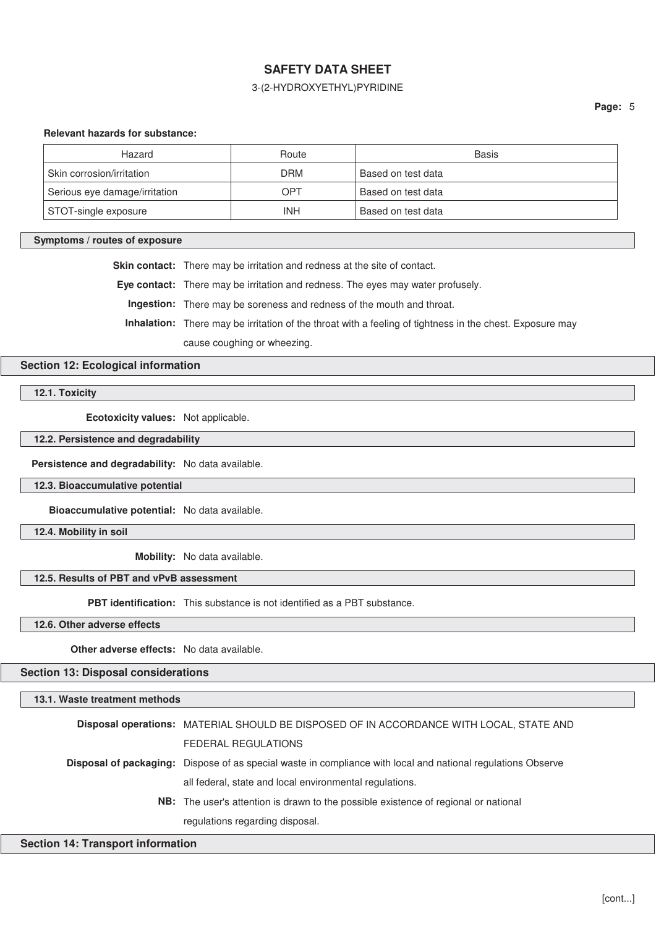## 3-(2-HYDROXYETHYL)PYRIDINE

### **Relevant hazards for substance:**

| Hazard                        | Route      | <b>Basis</b>       |
|-------------------------------|------------|--------------------|
| Skin corrosion/irritation     | <b>DRM</b> | Based on test data |
| Serious eye damage/irritation | OPT        | Based on test data |
| STOT-single exposure          | INH        | Based on test data |

### **Symptoms / routes of exposure**

**Skin contact:** There may be irritation and redness at the site of contact.

**Eye contact:** There may be irritation and redness. The eyes may water profusely.

**Ingestion:** There may be soreness and redness of the mouth and throat.

**Inhalation:** There may be irritation of the throat with a feeling of tightness in the chest. Exposure may

cause coughing or wheezing.

## **Section 12: Ecological information**

**12.1. Toxicity**

**Ecotoxicity values:** Not applicable.

**12.2. Persistence and degradability**

**Persistence and degradability:** No data available.

**12.3. Bioaccumulative potential**

**Bioaccumulative potential:** No data available.

**12.4. Mobility in soil**

**Mobility:** No data available.

## **12.5. Results of PBT and vPvB assessment**

**PBT identification:** This substance is not identified as a PBT substance.

**12.6. Other adverse effects**

**Other adverse effects:** No data available.

**Section 13: Disposal considerations**

## **13.1. Waste treatment methods**

| Disposal operations: MATERIAL SHOULD BE DISPOSED OF IN ACCORDANCE WITH LOCAL, STATE AND                             |
|---------------------------------------------------------------------------------------------------------------------|
| <b>FEDERAL REGULATIONS</b>                                                                                          |
| <b>Disposal of packaging:</b> Dispose of as special waste in compliance with local and national regulations Observe |
| all federal, state and local environmental regulations.                                                             |
| <b>NB:</b> The user's attention is drawn to the possible existence of regional or national                          |
| regulations regarding disposal.                                                                                     |

### **Section 14: Transport information**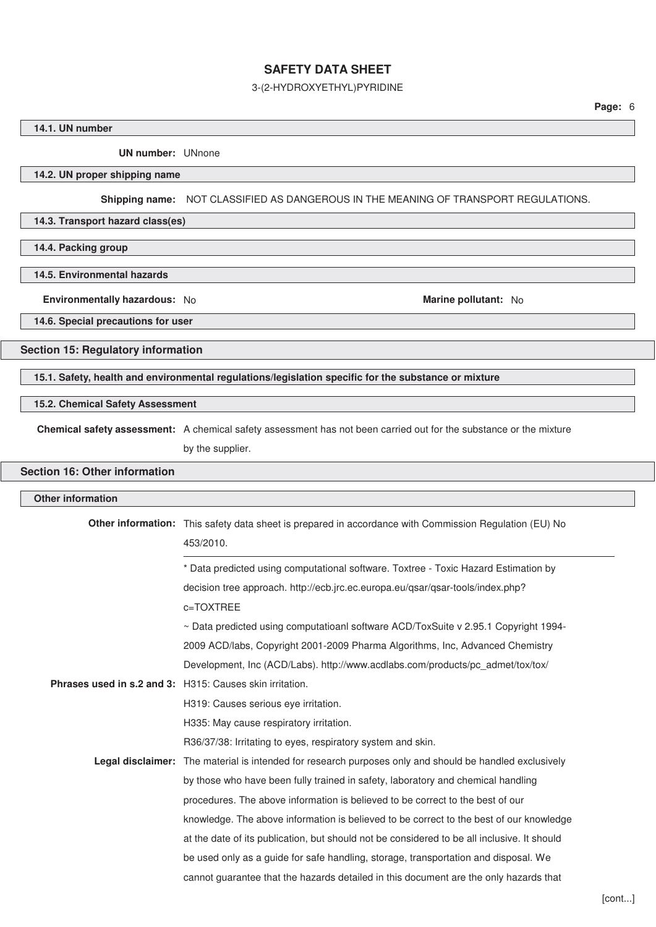## 3-(2-HYDROXYETHYL)PYRIDINE

## **14.1. UN number**

**UN number:** UNnone

## **14.2. UN proper shipping name**

**Shipping name:** NOT CLASSIFIED AS DANGEROUS IN THE MEANING OF TRANSPORT REGULATIONS.

## **14.3. Transport hazard class(es)**

**14.4. Packing group**

## **14.5. Environmental hazards**

**Environmentally hazardous:** No **Marine pollutant:** No **Marine pollutant:** No

**14.6. Special precautions for user**

## **Section 15: Regulatory information**

**15.1. Safety, health and environmental regulations/legislation specific for the substance or mixture**

## **15.2. Chemical Safety Assessment**

**Chemical safety assessment:** A chemical safety assessment has not been carried out for the substance or the mixture

by the supplier.

# **Section 16: Other information**

| <b>Other information</b> |                                                                                                                     |  |  |  |  |
|--------------------------|---------------------------------------------------------------------------------------------------------------------|--|--|--|--|
|                          | Other information: This safety data sheet is prepared in accordance with Commission Regulation (EU) No<br>453/2010. |  |  |  |  |
|                          | * Data predicted using computational software. Toxtree - Toxic Hazard Estimation by                                 |  |  |  |  |
|                          | decision tree approach. http://ecb.jrc.ec.europa.eu/qsar/qsar-tools/index.php?                                      |  |  |  |  |
|                          | c=TOXTREE                                                                                                           |  |  |  |  |
|                          | $\sim$ Data predicted using computatioanl software ACD/ToxSuite v 2.95.1 Copyright 1994-                            |  |  |  |  |
|                          | 2009 ACD/labs, Copyright 2001-2009 Pharma Algorithms, Inc, Advanced Chemistry                                       |  |  |  |  |
|                          | Development, Inc (ACD/Labs). http://www.acdlabs.com/products/pc_admet/tox/tox/                                      |  |  |  |  |
|                          | <b>Phrases used in s.2 and 3:</b> H315: Causes skin irritation.                                                     |  |  |  |  |
|                          | H319: Causes serious eye irritation.                                                                                |  |  |  |  |
|                          | H335: May cause respiratory irritation.                                                                             |  |  |  |  |
|                          | R36/37/38: Irritating to eyes, respiratory system and skin.                                                         |  |  |  |  |
|                          | <b>Legal disclaimer:</b> The material is intended for research purposes only and should be handled exclusively      |  |  |  |  |
|                          | by those who have been fully trained in safety, laboratory and chemical handling                                    |  |  |  |  |
|                          | procedures. The above information is believed to be correct to the best of our                                      |  |  |  |  |
|                          | knowledge. The above information is believed to be correct to the best of our knowledge                             |  |  |  |  |
|                          | at the date of its publication, but should not be considered to be all inclusive. It should                         |  |  |  |  |
|                          | be used only as a guide for safe handling, storage, transportation and disposal. We                                 |  |  |  |  |
|                          | cannot guarantee that the hazards detailed in this document are the only hazards that                               |  |  |  |  |
|                          |                                                                                                                     |  |  |  |  |